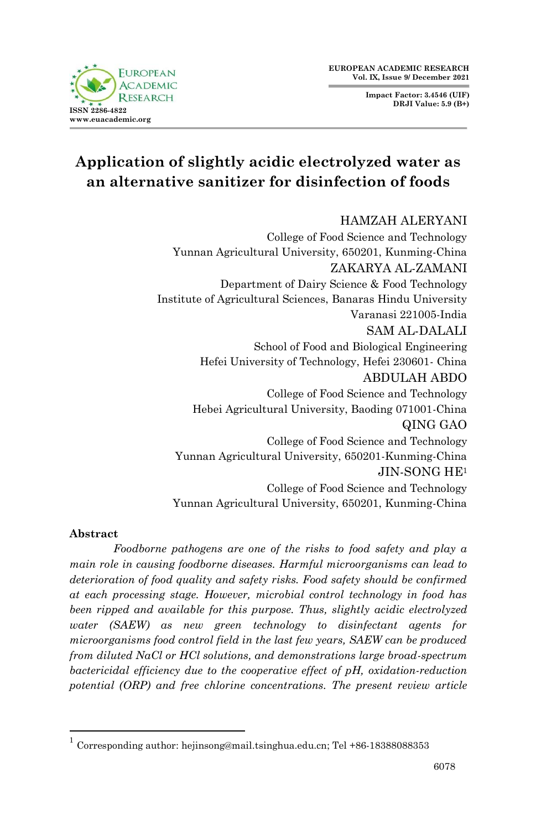**Impact Factor: 3.4546 (UIF) DRJI Value: 5.9 (B+)**



# **Application of slightly acidic electrolyzed water as an alternative sanitizer for disinfection of foods**

## HAMZAH ALERYANI

College of Food Science and Technology Yunnan Agricultural University, 650201, Kunming-China ZAKARYA AL-ZAMANI Department of Dairy Science & Food Technology Institute of Agricultural Sciences, Banaras Hindu University Varanasi 221005-India SAM AL-DALALI School of Food and Biological Engineering Hefei University of Technology, Hefei 230601- China ABDULAH ABDO College of Food Science and Technology Hebei Agricultural University, Baoding 071001-China QING GAO College of Food Science and Technology Yunnan Agricultural University, 650201-Kunming-China JIN-SONG HE<sup>1</sup> College of Food Science and Technology Yunnan Agricultural University, 650201, Kunming-China

#### **Abstract**

1

*Foodborne pathogens are one of the risks to food safety and play a main role in causing foodborne diseases. Harmful microorganisms can lead to deterioration of food quality and safety risks. Food safety should be confirmed at each processing stage. However, microbial control technology in food has been ripped and available for this purpose. Thus, slightly acidic electrolyzed water (SAEW) as new green technology to disinfectant agents for microorganisms food control field in the last few years, SAEW can be produced from diluted NaCl or HCl solutions, and demonstrations large broad-spectrum bactericidal efficiency due to the cooperative effect of pH, oxidation-reduction potential (ORP) and free chlorine concentrations. The present review article* 

<sup>1</sup> Corresponding author: hejinsong@mail.tsinghua.edu.cn; Tel +86-18388088353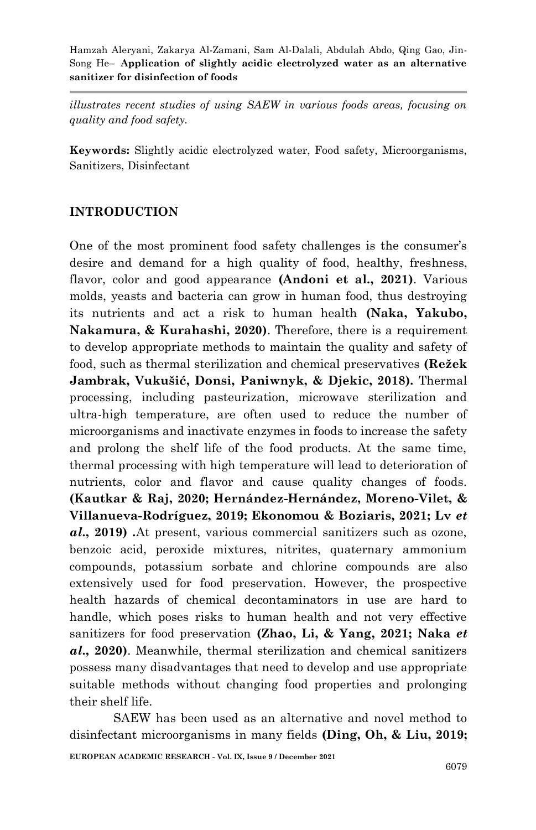*illustrates recent studies of using SAEW in various foods areas, focusing on quality and food safety.*

**Keywords:** Slightly acidic electrolyzed water, Food safety, Microorganisms, Sanitizers, Disinfectant

## **INTRODUCTION**

One of the most prominent food safety challenges is the consumer's desire and demand for a high quality of food, healthy, freshness, flavor, color and good appearance **(Andoni et al., 2021)**. Various molds, yeasts and bacteria can grow in human food, thus destroying its nutrients and act a risk to human health **(Naka, Yakubo, Nakamura, & Kurahashi, 2020)**. Therefore, there is a requirement to develop appropriate methods to maintain the quality and safety of food, such as thermal sterilization and chemical preservatives **(Režek Jambrak, Vukušić, Donsi, Paniwnyk, & Djekic, 2018)***.* Thermal processing, including pasteurization, microwave sterilization and ultra-high temperature, are often used to reduce the number of microorganisms and inactivate enzymes in foods to increase the safety and prolong the shelf life of the food products. At the same time, thermal processing with high temperature will lead to deterioration of nutrients, color and flavor and cause quality changes of foods. **(Kautkar & Raj, 2020; Hernández-Hernández, Moreno-Vilet, & Villanueva-Rodríguez, 2019; Ekonomou & Boziaris, 2021; Lv** *et al***., 2019)** *.*At present, various commercial sanitizers such as ozone, benzoic acid, peroxide mixtures, nitrites, quaternary ammonium compounds, potassium sorbate and chlorine compounds are also extensively used for food preservation. However, the prospective health hazards of chemical decontaminators in use are hard to handle, which poses risks to human health and not very effective sanitizers for food preservation **(Zhao, Li, & Yang, 2021; Naka** *et al***., 2020)**. Meanwhile, thermal sterilization and chemical sanitizers possess many disadvantages that need to develop and use appropriate suitable methods without changing food properties and prolonging their shelf life.

**EUROPEAN ACADEMIC RESEARCH - Vol. IX, Issue 9 / December 2021** SAEW has been used as an alternative and novel method to disinfectant microorganisms in many fields **(Ding, Oh, & Liu, 2019;**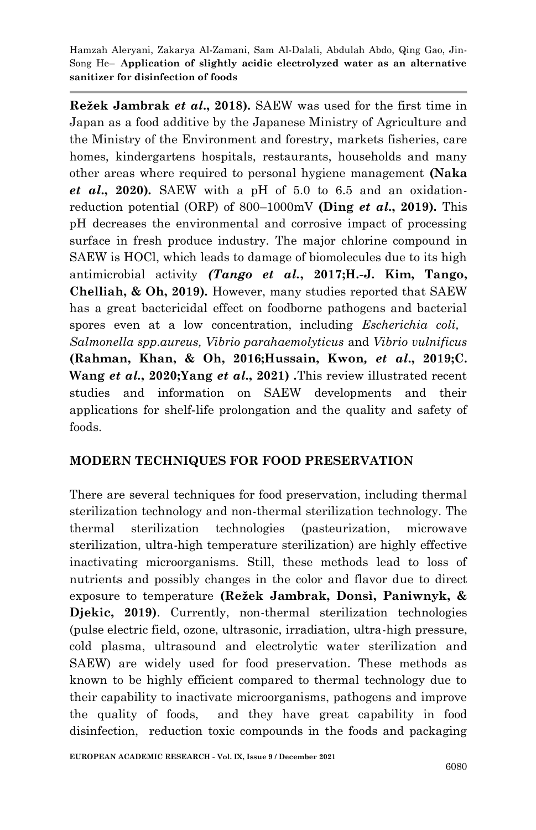**Režek Jambrak** *et al***., 2018).** SAEW was used for the first time in Japan as a food additive by the Japanese Ministry of Agriculture and the Ministry of the Environment and forestry, markets fisheries, care homes, kindergartens hospitals, restaurants, households and many other areas where required to personal hygiene management **(Naka**  *et al***., 2020)***.* SAEW with a pH of 5.0 to 6.5 and an oxidationreduction potential (ORP) of 800–1000mV **(Ding** *et al***., 2019).** This pH decreases the environmental and corrosive impact of processing surface in fresh produce industry. The major chlorine compound in SAEW is HOCl, which leads to damage of biomolecules due to its high antimicrobial activity *(Tango et al.***, 2017;H.-J. Kim, Tango, Chelliah, & Oh, 2019)***.* However, many studies reported that SAEW has a great bactericidal effect on foodborne pathogens and bacterial spores even at a low concentration, including *Escherichia coli, Salmonella spp.aureus, Vibrio parahaemolyticus* and *Vibrio vulnificus*  **(Rahman, Khan, & Oh, 2016;Hussain, Kwon***, et al***., 2019;C. Wang** *et al.***, 2020;Yang** *et al***., 2021)** *.*This review illustrated recent studies and information on SAEW developments and their applications for shelf-life prolongation and the quality and safety of

## **MODERN TECHNIQUES FOR FOOD PRESERVATION**

foods.

There are several techniques for food preservation, including thermal sterilization technology and non-thermal sterilization technology. The thermal sterilization technologies (pasteurization, microwave sterilization, ultra-high temperature sterilization) are highly effective inactivating microorganisms. Still, these methods lead to loss of nutrients and possibly changes in the color and flavor due to direct exposure to temperature **(Režek Jambrak, Donsì, Paniwnyk, & Djekic, 2019)**. Currently, non-thermal sterilization technologies (pulse electric field, ozone, ultrasonic, irradiation, ultra-high pressure, cold plasma, ultrasound and electrolytic water sterilization and SAEW) are widely used for food preservation. These methods as known to be highly efficient compared to thermal technology due to their capability to inactivate microorganisms, pathogens and improve the quality of foods, and they have great capability in food disinfection, reduction toxic compounds in the foods and packaging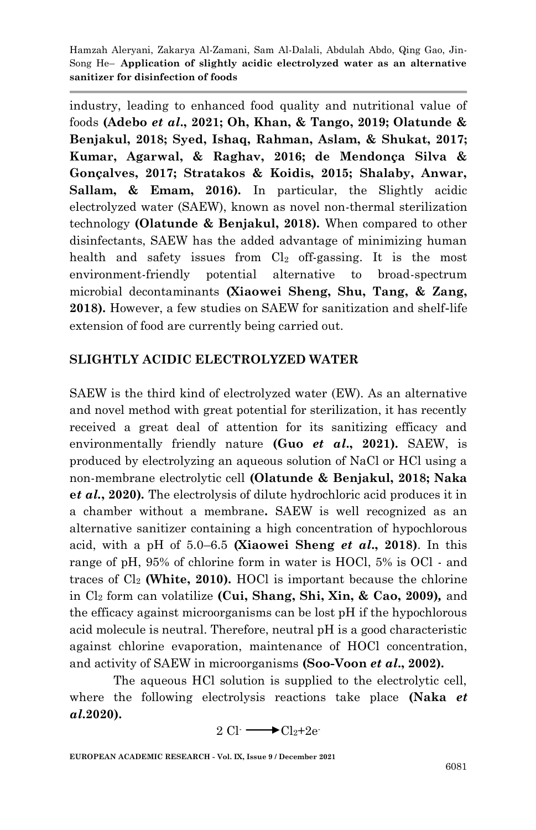industry, leading to enhanced food quality and nutritional value of foods **(Adebo** *et al***., 2021; Oh, Khan, & Tango, 2019; Olatunde & Benjakul, 2018; Syed, Ishaq, Rahman, Aslam, & Shukat, 2017; Kumar, Agarwal, & Raghav, 2016; de Mendonça Silva & Gonçalves, 2017; Stratakos & Koidis, 2015; Shalaby, Anwar, Sallam, & Emam, 2016)***.* In particular, the Slightly acidic electrolyzed water (SAEW), known as novel non-thermal sterilization technology **(Olatunde & Benjakul, 2018)***.* When compared to other disinfectants, SAEW has the added advantage of minimizing human health and safety issues from  $Cl<sub>2</sub>$  off-gassing. It is the most environment-friendly potential alternative to broad-spectrum microbial decontaminants **(Xiaowei Sheng, Shu, Tang, & Zang, 2018).** However, a few studies on SAEW for sanitization and shelf-life extension of food are currently being carried out.

## **SLIGHTLY ACIDIC ELECTROLYZED WATER**

SAEW is the third kind of electrolyzed water (EW). As an alternative and novel method with great potential for sterilization, it has recently received a great deal of attention for its sanitizing efficacy and environmentally friendly nature **(Guo** *et al***., 2021).** SAEW, is produced by electrolyzing an aqueous solution of NaCl or HCl using a non-membrane electrolytic cell **(Olatunde & Benjakul, 2018; Naka e***t al.***, 2020)***.* The electrolysis of dilute hydrochloric acid produces it in a chamber without a membrane**.** SAEW is well recognized as an alternative sanitizer containing a high concentration of hypochlorous acid, with a pH of 5.0–6.5 **(Xiaowei Sheng** *et al***., 2018)**. In this range of pH, 95% of chlorine form in water is HOCl, 5% is OCl - and traces of Cl<sup>2</sup> **(White, 2010).** HOCl is important because the chlorine in Cl<sup>2</sup> form can volatilize **(Cui, Shang, Shi, Xin, & Cao, 2009)***,* and the efficacy against microorganisms can be lost pH if the hypochlorous acid molecule is neutral. Therefore, neutral pH is a good characteristic against chlorine evaporation, maintenance of HOCl concentration, and activity of SAEW in microorganisms **(Soo-Voon** *et al***., 2002).**

The aqueous HCl solution is supplied to the electrolytic cell, where the following electrolysis reactions take place **(Naka** *et al***.2020).**

$$
2 \text{ Cl} \longrightarrow \text{Cl}_2 + 2e
$$

**EUROPEAN ACADEMIC RESEARCH - Vol. IX, Issue 9 / December 2021**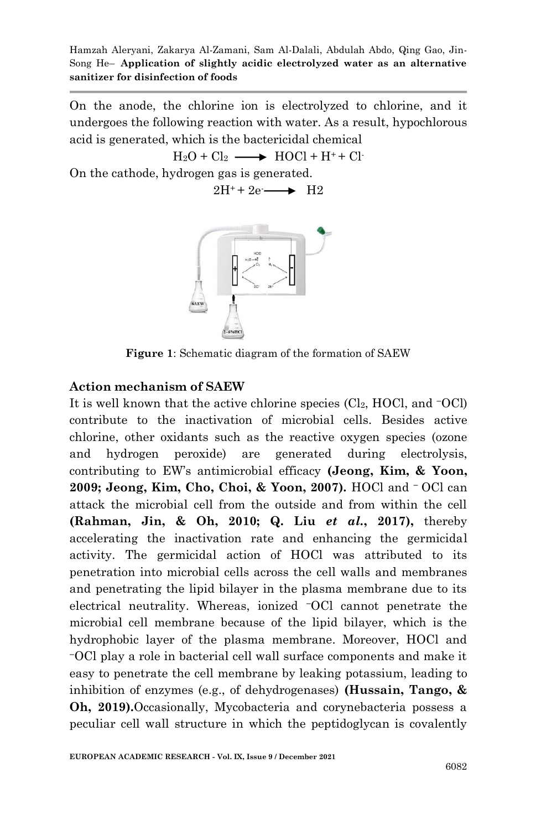On the anode, the chlorine ion is electrolyzed to chlorine, and it undergoes the following reaction with water. As a result, hypochlorous acid is generated, which is the bactericidal chemical

 $H_2O + Cl_2 \longrightarrow HOCl + H^+ + Cl^-$ On the cathode, hydrogen gas is generated.

 $2H^+ + 2e \longrightarrow H2$ 



**Figure 1**: Schematic diagram of the formation of SAEW

## **Action mechanism of SAEW**

It is well known that the active chlorine species  $\text{(Cl}_2, \text{HOCl}, \text{and } \text{OCl})$ contribute to the inactivation of microbial cells. Besides active chlorine, other oxidants such as the reactive oxygen species (ozone and hydrogen peroxide) are generated during electrolysis, contributing to EW's antimicrobial efficacy **(Jeong, Kim, & Yoon,**  2009; Jeong, Kim, Cho, Choi, & Yoon, 2007). HOCl and <sup>−</sup> OCl can attack the microbial cell from the outside and from within the cell **(Rahman, Jin, & Oh, 2010; Q. Liu** *et al.***, 2017),** thereby accelerating the inactivation rate and enhancing the germicidal activity. The germicidal action of HOCl was attributed to its penetration into microbial cells across the cell walls and membranes and penetrating the lipid bilayer in the plasma membrane due to its electrical neutrality. Whereas, ionized −OCl cannot penetrate the microbial cell membrane because of the lipid bilayer, which is the hydrophobic layer of the plasma membrane. Moreover, HOCl and <sup>−</sup>OCl play a role in bacterial cell wall surface components and make it easy to penetrate the cell membrane by leaking potassium, leading to inhibition of enzymes (e.g., of dehydrogenases) **(Hussain, Tango, & Oh, 2019).**Occasionally, Mycobacteria and corynebacteria possess a peculiar cell wall structure in which the peptidoglycan is covalently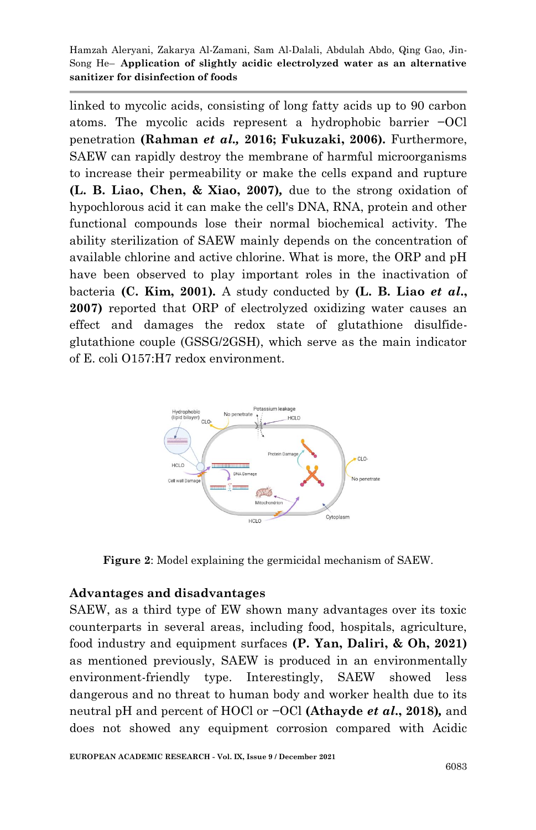linked to mycolic acids, consisting of long fatty acids up to 90 carbon atoms. The mycolic acids represent a hydrophobic barrier −OCl penetration **(Rahman** *et al.,* **2016; Fukuzaki, 2006).** Furthermore, SAEW can rapidly destroy the membrane of harmful microorganisms to increase their permeability or make the cells expand and rupture **(L. B. Liao, Chen, & Xiao, 2007)***,* due to the strong oxidation of hypochlorous acid it can make the cell's DNA, RNA, protein and other functional compounds lose their normal biochemical activity. The ability sterilization of SAEW mainly depends on the concentration of available chlorine and active chlorine. What is more, the ORP and pH have been observed to play important roles in the inactivation of bacteria **(C. Kim, 2001)***.* A study conducted by **(L. B. Liao** *et al***., 2007)** reported that ORP of electrolyzed oxidizing water causes an effect and damages the redox state of glutathione disulfideglutathione couple (GSSG/2GSH), which serve as the main indicator of E. coli O157:H7 redox environment.



**Figure 2**: Model explaining the germicidal mechanism of SAEW.

## **Advantages and disadvantages**

SAEW, as a third type of EW shown many advantages over its toxic counterparts in several areas, including food, hospitals, agriculture, food industry and equipment surfaces **(P. Yan, Daliri, & Oh, 2021)**  as mentioned previously, SAEW is produced in an environmentally environment-friendly type. Interestingly, SAEW showed less dangerous and no threat to human body and worker health due to its neutral pH and percent of HOCl or −OCl **(Athayde** *et al***., 2018)***,* and does not showed any equipment corrosion compared with Acidic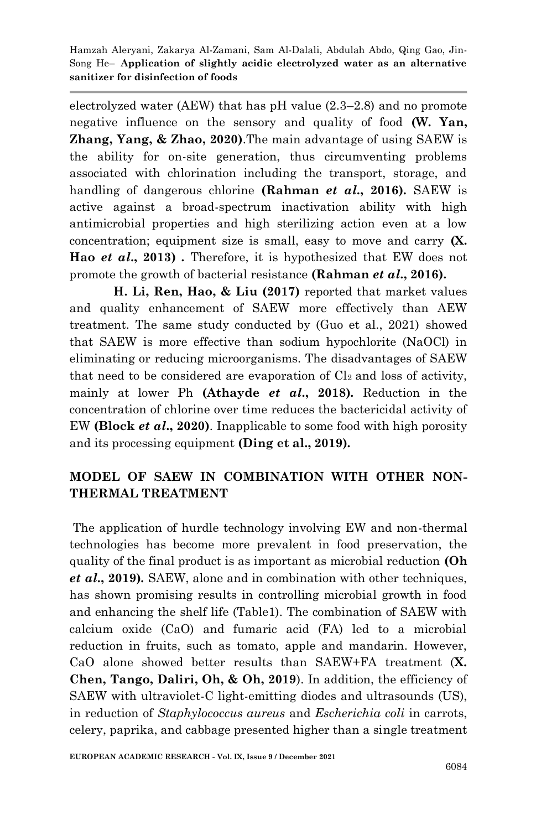electrolyzed water (AEW) that has pH value (2.3–2.8) and no promote negative influence on the sensory and quality of food **(W. Yan, Zhang, Yang, & Zhao, 2020)**.The main advantage of using SAEW is the ability for on-site generation, thus circumventing problems associated with chlorination including the transport, storage, and handling of dangerous chlorine **(Rahman** *et al***., 2016).** SAEW is active against a broad-spectrum inactivation ability with high antimicrobial properties and high sterilizing action even at a low concentration; equipment size is small, easy to move and carry **(X. Hao** *et al***., 2013)** *.* Therefore, it is hypothesized that EW does not promote the growth of bacterial resistance **(Rahman** *et al***., 2016).**

**H. Li, Ren, Hao, & Liu (2017)** reported that market values and quality enhancement of SAEW more effectively than AEW treatment. The same study conducted by (Guo et al., 2021) showed that SAEW is more effective than sodium hypochlorite (NaOCl) in eliminating or reducing microorganisms. The disadvantages of SAEW that need to be considered are evaporation of  $Cl<sub>2</sub>$  and loss of activity, mainly at lower Ph **(Athayde** *et al***., 2018)***.* Reduction in the concentration of chlorine over time reduces the bactericidal activity of EW **(Block** *et al***., 2020)**. Inapplicable to some food with high porosity and its processing equipment **(Ding et al., 2019)***.*

# **MODEL OF SAEW IN COMBINATION WITH OTHER NON-THERMAL TREATMENT**

The application of hurdle technology involving EW and non-thermal technologies has become more prevalent in food preservation, the quality of the final product is as important as microbial reduction **(Oh**  *et al***., 2019)***.* SAEW, alone and in combination with other techniques, has shown promising results in controlling microbial growth in food and enhancing the shelf life (Table1). The combination of SAEW with calcium oxide (CaO) and fumaric acid (FA) led to a microbial reduction in fruits, such as tomato, apple and mandarin. However, CaO alone showed better results than SAEW+FA treatment (**X. Chen, Tango, Daliri, Oh, & Oh, 2019**). In addition, the efficiency of SAEW with ultraviolet-C light-emitting diodes and ultrasounds (US), in reduction of *Staphylococcus aureus* and *Escherichia coli* in carrots, celery, paprika, and cabbage presented higher than a single treatment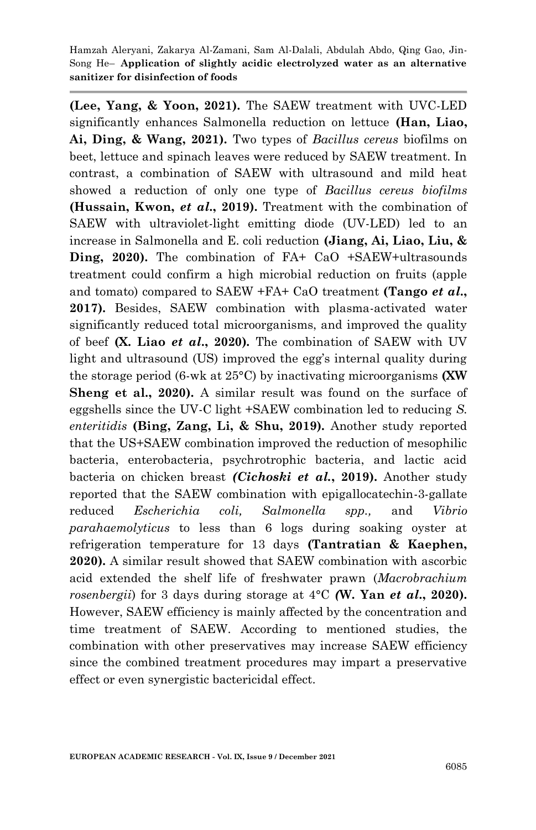**(Lee, Yang, & Yoon, 2021).** The SAEW treatment with UVC-LED significantly enhances Salmonella reduction on lettuce **(Han, Liao, Ai, Ding, & Wang, 2021).** Two types of *Bacillus cereus* biofilms on beet, lettuce and spinach leaves were reduced by SAEW treatment. In contrast, a combination of SAEW with ultrasound and mild heat showed a reduction of only one type of *Bacillus cereus biofilms* **(Hussain, Kwon,** *et al***., 2019).** Treatment with the combination of SAEW with ultraviolet-light emitting diode (UV-LED) led to an increase in Salmonella and E. coli reduction **(Jiang, Ai, Liao, Liu, & Ding, 2020).** The combination of FA+ CaO +SAEW+ultrasounds treatment could confirm a high microbial reduction on fruits (apple and tomato) compared to SAEW +FA+ CaO treatment **(Tango** *et al***., 2017).** Besides, SAEW combination with plasma-activated water significantly reduced total microorganisms, and improved the quality of beef **(X. Liao** *et al***., 2020)***.* The combination of SAEW with UV light and ultrasound (US) improved the egg's internal quality during the storage period (6-wk at 25°C) by inactivating microorganisms **(XW Sheng et al., 2020).** A similar result was found on the surface of eggshells since the UV-C light +SAEW combination led to reducing *S. enteritidis* **(Bing, Zang, Li, & Shu, 2019).** Another study reported that the US+SAEW combination improved the reduction of mesophilic bacteria, enterobacteria, psychrotrophic bacteria, and lactic acid bacteria on chicken breast *(Cichoski et al.***, 2019).** Another study reported that the SAEW combination with epigallocatechin-3-gallate reduced *Escherichia coli, Salmonella spp.,* and *Vibrio parahaemolyticus* to less than 6 logs during soaking oyster at refrigeration temperature for 13 days **(Tantratian & Kaephen, 2020).** A similar result showed that SAEW combination with ascorbic acid extended the shelf life of freshwater prawn (*Macrobrachium rosenbergii*) for 3 days during storage at 4°C *(***W. Yan** *et al***., 2020).** However, SAEW efficiency is mainly affected by the concentration and time treatment of SAEW. According to mentioned studies, the combination with other preservatives may increase SAEW efficiency since the combined treatment procedures may impart a preservative effect or even synergistic bactericidal effect.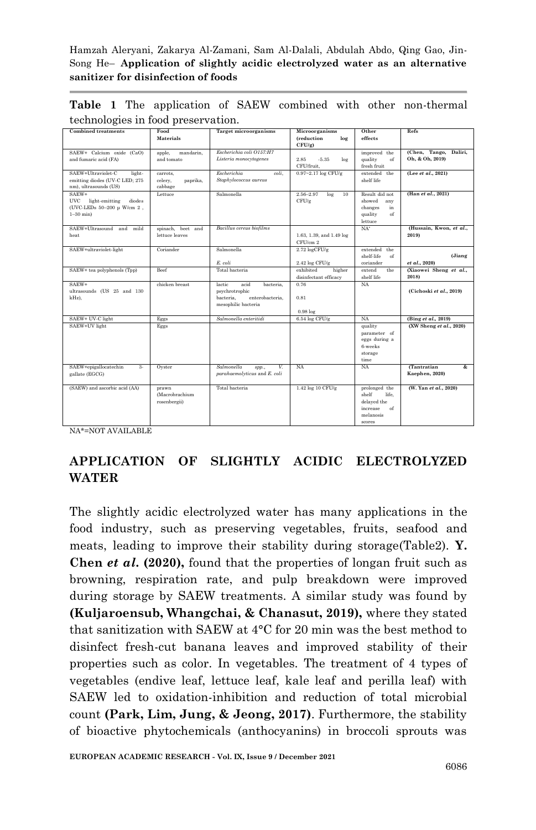| <b>Combined treatments</b>     | Food                | <b>Target microorganisms</b> | Microorganisms            | Other            | Refs                    |
|--------------------------------|---------------------|------------------------------|---------------------------|------------------|-------------------------|
|                                | Materials           |                              | (reduction<br>log         | effects          |                         |
|                                |                     |                              | $CFU/g$ )                 |                  |                         |
| SAEW+ Calcium oxide (CaO)      | mandarin.<br>apple. | Escherichia coli O157:H7     |                           | improved the     | (Chen, Tango, Daliri,   |
|                                |                     |                              |                           |                  |                         |
| and fumaric acid (FA)          | and tomato          | Listeria monocytogenes       | 2.85<br>$-5.35$<br>$\log$ | quality<br>of    | Oh. & Oh. 2019)         |
|                                |                     |                              | CFU/fruit.                | fresh fruit      |                         |
| SAEW+Ultraviolet-C<br>light-   | carrots,            | Escherichia<br>coli.         | $0.97 - 2.17$ log CFU/g   | extended the     | (Lee et al., 2021)      |
| emitting diodes (UV-C LED; 275 | paprika.<br>celery, | Staphylococcus aureus        |                           | shelf life       |                         |
| nm), ultrasounds (US)          | cabbage             |                              |                           |                  |                         |
|                                |                     |                              |                           |                  |                         |
| SAEW+                          | Lettuce             | Salmonella                   | 2.56-2.97<br>log<br>10    | Result did not   | (Han et al., 2021)      |
| UVC light-emitting<br>diodes   |                     |                              | CFU/g                     | showed<br>any    |                         |
| (UVC-LEDs 50-200 µ W/cm 2,     |                     |                              |                           | changes<br>in    |                         |
| $1-30$ min $)$                 |                     |                              |                           | quality<br>of    |                         |
|                                |                     |                              |                           | lettuce          |                         |
|                                |                     |                              |                           |                  |                         |
| SAEW+Ultrasound and<br>mild    | spinach, beet and   | Bacillus cereus biofilms     |                           | $NA^*$           | (Hussain, Kwon, et al., |
| heat                           | lettuce leaves      |                              | 1.63, 1.39, and 1.49 log  |                  | 2019)                   |
|                                |                     |                              | CFU/cm 2                  |                  |                         |
| SAEW+ultraviolet-light         | Coriander           | Salmonella                   | $2.72 \log CFU/\sigma$    | extended<br>the  |                         |
|                                |                     |                              |                           | shelf-life<br>of | (Jiang                  |
|                                |                     | E. coli                      |                           | coriander        | et al., 2020)           |
|                                |                     |                              | 2.42 log CFU/g            |                  |                         |
| SAEW+ tea polyphenols (Tpp)    | Beef                | Total hacteria               | exhibited<br>higher       | the<br>extend    | (Xiaowei Sheng et al.,  |
|                                |                     |                              | disinfectant efficacy     | shelf life       | 2018)                   |
| SAEW+                          | chicken breast      | acid<br>lactic<br>bacteria.  | 0.76                      | NA               |                         |
| ultrasounds (US 25 and 130     |                     | psychrotrophic               |                           |                  | (Cichoski et al., 2019) |
| kHz),                          |                     | bacteria.<br>enterobacteria. | 0.81                      |                  |                         |
|                                |                     |                              |                           |                  |                         |
|                                |                     | mesophilic bacteria          |                           |                  |                         |
|                                |                     |                              | $0.98\log$                |                  |                         |
| SAEW+ UV-C light               | Eggs                | Salmonella enteritidi        | $6.54 \log CFU/g$         | NA               | (Bing et al., 2019)     |
| SAEW+UV light                  | Eggs                |                              |                           | quality          | (XW Sheng et al., 2020) |
|                                |                     |                              |                           | parameter of     |                         |
|                                |                     |                              |                           | eggs during a    |                         |
|                                |                     |                              |                           |                  |                         |
|                                |                     |                              |                           | 6-weeks          |                         |
|                                |                     |                              |                           | storage          |                         |
|                                |                     |                              |                           | time             |                         |
| SAEW+epigallocatechin<br>2.    | Ovster              | Salmonella<br>V.<br>spp.,    | <b>NA</b>                 | NA               | <b>Tantratian</b><br>&. |
| gallate (EGCG)                 |                     | parahaemolyticus and E. coli |                           |                  | <b>Kaephen</b> , 2020)  |
|                                |                     |                              |                           |                  |                         |
|                                |                     |                              |                           |                  |                         |
| (SAEW) and ascorbic acid (AA)  | prawn               | Total bacteria               | 1.42 log 10 CFU/g         | prolonged the    | (W. Yan et al., 2020)   |
|                                | (Macrobrachium      |                              |                           | shelf<br>life.   |                         |
|                                | rosenbergii)        |                              |                           | delayed the      |                         |
|                                |                     |                              |                           | increase<br>of   |                         |
|                                |                     |                              |                           | melanosis        |                         |
|                                |                     |                              |                           |                  |                         |

**Table 1** The application of SAEW combined with other non-thermal technologies in food preservation.

NA\*=NOT AVAILABLE

# **APPLICATION OF SLIGHTLY ACIDIC ELECTROLYZED WATER**

scores

The slightly acidic electrolyzed water has many applications in the food industry, such as preserving vegetables, fruits, seafood and meats, leading to improve their stability during storage(Table2). **Y. Chen** *et al***. (2020),** found that the properties of longan fruit such as browning, respiration rate, and pulp breakdown were improved during storage by SAEW treatments. A similar study was found by **(Kuljaroensub, Whangchai, & Chanasut, 2019),** where they stated that sanitization with SAEW at 4°C for 20 min was the best method to disinfect fresh-cut banana leaves and improved stability of their properties such as color. In vegetables. The treatment of 4 types of vegetables (endive leaf, lettuce leaf, kale leaf and perilla leaf) with SAEW led to oxidation-inhibition and reduction of total microbial count **(Park, Lim, Jung, & Jeong, 2017)**. Furthermore, the stability of bioactive phytochemicals (anthocyanins) in broccoli sprouts was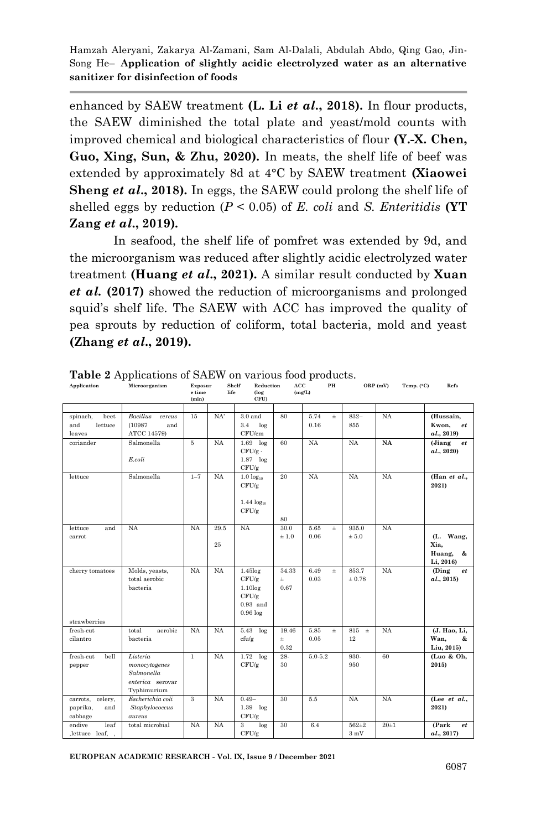enhanced by SAEW treatment **(L. Li** *et al***., 2018).** In flour products, the SAEW diminished the total plate and yeast/mold counts with improved chemical and biological characteristics of flour **(Y.-X. Chen, Guo, Xing, Sun, & Zhu, 2020).** In meats, the shelf life of beef was extended by approximately 8d at 4°C by SAEW treatment **(Xiaowei Sheng** *et al***., 2018)***.* In eggs, the SAEW could prolong the shelf life of shelled eggs by reduction  $(P < 0.05)$  of *E. coli* and *S. Enteritidis* **(YT Zang** *et al***., 2019)***.*

In seafood, the shelf life of pomfret was extended by 9d, and the microorganism was reduced after slightly acidic electrolyzed water treatment **(Huang** *et al***., 2021).** A similar result conducted by **Xuan**  *et al.* **(2017)** showed the reduction of microorganisms and prolonged squid's shelf life. The SAEW with ACC has improved the quality of pea sprouts by reduction of coliform, total bacteria, mold and yeast **(Zhang** *et al***., 2019).**

**PH ORP (mV) Temp. (°C) Refs**

| Application                                    | Microorganism                                                              | Exposur<br>e time<br>(min) | life       | Shelf<br>Reduction<br>(log<br>CFU)                                  | АСС                 | (mg/L)       | PН    |                     | ORP(mV)   | Temp. (°C) | Refs                                          |
|------------------------------------------------|----------------------------------------------------------------------------|----------------------------|------------|---------------------------------------------------------------------|---------------------|--------------|-------|---------------------|-----------|------------|-----------------------------------------------|
| spinach,<br>beet<br>and<br>lettuce             | <b>Bacillus</b><br>cereus<br>(10987)<br>and                                | 15                         | $NA^*$     | $3.0$ and<br>3.4<br>log                                             | 80                  | 5.74<br>0.16 | $\pm$ | $832 -$<br>855      | <b>NA</b> |            | (Hussain,<br>Kwon,<br>et                      |
| leaves<br>coriander                            | ATCC 14579)<br>Salmonella<br>E. coli                                       | 5                          | <b>NA</b>  | CFU/cm<br>$1.69$ log<br>$CFU/g$ .<br>$1.87$ log<br>CFU/g            | 60                  | <b>NA</b>    |       | <b>NA</b>           | <b>NA</b> |            | a.l., 2019<br>(Jiang<br>et<br>a1., 2020       |
| lettuce                                        | Salmonella                                                                 | $1 - 7$                    | <b>NA</b>  | $1.0 \log_{10}$<br>CFU/g<br>$1.44 \log_{10}$<br>CFU/g               | 20<br>80            | <b>NA</b>    |       | <b>NA</b>           | <b>NA</b> |            | (Han et al.,<br>2021)                         |
| and<br>lettuce<br>carrot                       | <b>NA</b>                                                                  | NA                         | 29.5<br>25 | NA                                                                  | 30.0<br>±1.0        | 5.65<br>0.06 | $\pm$ | 935.0<br>$\pm$ 5.0  | <b>NA</b> |            | (L. Wang,<br>Xia,<br>Huang,<br>&<br>Li, 2016) |
| cherry tomatoes                                | Molds, yeasts,<br>total aerobic<br>bacteria                                | <b>NA</b>                  | NA         | $1.45$ log<br>CFU/g<br>1.10log<br>CFU/g<br>$0.93$ and<br>$0.96\log$ | 34.33<br>Ŧ.<br>0.67 | 6.49<br>0.03 | $\pm$ | 853.7<br>$\pm 0.78$ | <b>NA</b> |            | (Ding<br>et<br>a1., 2015)                     |
| strawberries<br>fresh-cut<br>cilantro          | aerobic<br>total<br>bacteria                                               | <b>NA</b>                  | <b>NA</b>  | $5.43$ $log$<br>cfu/g                                               | 19.46<br>Ŧ<br>0.32  | 5.85<br>0.05 | $\pm$ | 815<br>$\pm$<br>12  | <b>NA</b> |            | (J. Hao, Li,<br>Wan.<br>&<br>Liu, 2015)       |
| fresh-cut<br>bell<br>pepper                    | Listeria<br>monocytogenes<br>Salmonella<br>enterica serovar<br>Typhimurium | $\overline{1}$             | <b>NA</b>  | $1.72$ $log$<br>CFU/g                                               | 28-<br>30           | $5.0 - 5.2$  |       | 930-<br>950         | 60        |            | (Luo & Oh,<br>2015)                           |
| carrots, celery,<br>paprika,<br>and<br>cabbage | Escherichia coli<br>Staphylococcus<br>aureus                               | 3                          | <b>NA</b>  | $0.49 -$<br>$1.39$ $log$<br>CFU/g                                   | 30                  | 5.5          |       | <b>NA</b>           | <b>NA</b> |            | (Lee et al.,<br>2021)                         |
| leaf<br>endive<br>, lettuce leaf, ,            | total microbial                                                            | NA                         | <b>NA</b>  | 3<br>log<br>CFU/g                                                   | 30                  | 6.4          |       | $562 + 2$<br>3mV    | $20 + 1$  |            | (Park<br>et<br>a, 2017                        |

**Table 2** Applications of SAEW on various food products.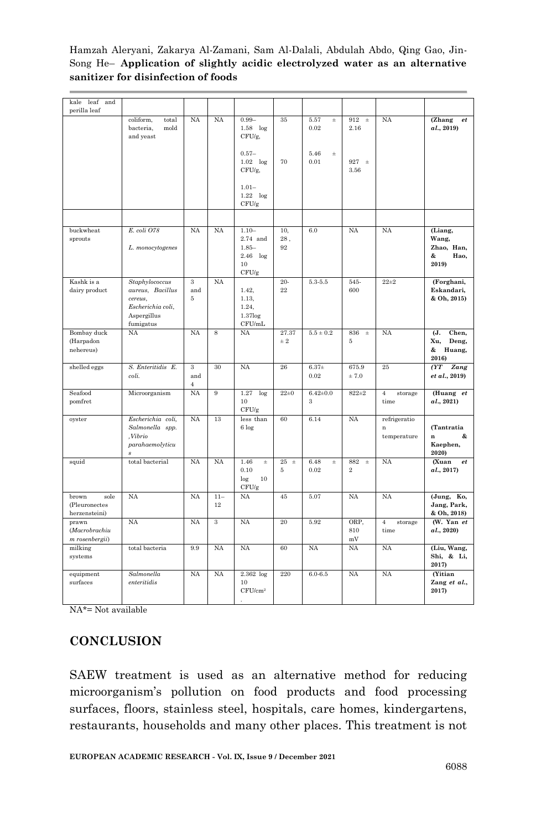| kale<br>leaf and<br>perilla leaf                |                                                                                                |                            |              |                                                               |                  |                          |                                |                                        |                                                      |
|-------------------------------------------------|------------------------------------------------------------------------------------------------|----------------------------|--------------|---------------------------------------------------------------|------------------|--------------------------|--------------------------------|----------------------------------------|------------------------------------------------------|
|                                                 | coliform.<br>total<br>bacteria.<br>mold<br>and yeast                                           | <b>NA</b>                  | NA           | $0.99 -$<br>$1.58$ log<br>CFU/g,                              | 35               | 5.57<br>$\pm$<br>0.02    | 912<br>$\pm$<br>2.16           | <b>NA</b>                              | (Zhang<br>$et\hskip.05in$<br>al., 2019)              |
|                                                 |                                                                                                |                            |              | $0.57-$<br>$1.02$ $log$<br>CFU/g,                             | 70               | 5.46<br>$\pm$<br>0.01    | $927 \pm$<br>3.56              |                                        |                                                      |
|                                                 |                                                                                                |                            |              | $1.01 -$<br>$1.22$ $log$<br>CFU/g                             |                  |                          |                                |                                        |                                                      |
|                                                 |                                                                                                |                            |              |                                                               |                  |                          |                                |                                        |                                                      |
| buckwheat<br>sprouts                            | E. coli O78<br>L. monocytogenes                                                                | NA                         | <b>NA</b>    | $1.10 -$<br>2.74 and<br>$1.85 -$<br>$2.46$ log<br>10<br>CFU/g | 10.<br>28.<br>92 | 6.0                      | NA                             | NA                                     | (Liang,<br>Wang,<br>Zhao, Han,<br>&<br>Hao,<br>2019) |
| Kashk is a<br>dairy product                     | Staphylococcus<br>aureus, Bacillus<br>cereus.<br>Escherichia coli,<br>Aspergillus<br>fumigatus | $\mathbf{a}$<br>and<br>5   | <b>NA</b>    | 1.42,<br>1.13,<br>1.24,<br>$1.37$ log<br>CFU/mL               | $20 -$<br>22     | 5.3-5.5                  | 545-<br>600                    | $22 + 2$                               | (Forghani,<br>Eskandari,<br>& Oh, 2015)              |
| Bombay duck<br>(Harpadon<br>nehereus)           | NA                                                                                             | <b>NA</b>                  | 8            | NA                                                            | 27.37<br>$\pm$ 2 | $5.5 \pm 0.2$            | 836<br>$\pm$<br>5              | <b>NA</b>                              | Chen,<br>(J.<br>Xu,<br>Deng,<br>&<br>Huang,<br>2016) |
| shelled eggs                                    | S. Enteritidis E.<br>coli.                                                                     | 3<br>and<br>$\overline{4}$ | 30           | <b>NA</b>                                                     | 26               | $6.37+$<br>0.02          | 675.9<br>± 7.0                 | 25                                     | (TT)<br>Zang<br>et al., 2019)                        |
| Seafood<br>pomfret                              | Microorganism                                                                                  | <b>NA</b>                  | 9            | $1.27\,$<br>log<br>10<br>CFU/g                                | $22 + 0$         | $6.42{\pm}0.0$<br>3      | $822 + 2$                      | $\,4\,$<br>storage<br>time             | (Huang et<br>al., 2021)                              |
| oyster                                          | Escherichia coli,<br>Salmonella spp.<br>.Vibrio<br>parahaemolyticu<br>$\boldsymbol{s}$         | NA                         | 13           | less than<br>$6\log$                                          | 60               | 6.14                     | NA                             | refrigeratio<br>$\bf n$<br>temperature | (Tantratia<br>$\mathbf{r}$<br>&<br>Kaephen,<br>2020) |
| squid                                           | total bacterial                                                                                | <b>NA</b>                  | <b>NA</b>    | 1.46<br>$\pm$<br>0.10<br>10<br>log<br>CFU/g                   | $25 \pm$<br>5    | 6.48<br>$_{\pm}$<br>0.02 | 882<br>$\pm$<br>$\overline{2}$ | NA                                     | (Xuan<br>$_{et}$<br>al., 2017)                       |
| sole<br>brown<br>(Pleuronectes<br>herzensteini) | NA                                                                                             | <b>NA</b>                  | $11 -$<br>12 | NA                                                            | 45               | 5.07                     | NA                             | NA                                     | (Jung, Ko,<br>Jang, Park,<br>& Oh, 2018)             |
| prawn<br>(Macrobrachiu<br>m rosenbergii)        | <b>NA</b>                                                                                      | NA                         | $\mathbf{a}$ | <b>NA</b>                                                     | 20               | 5.92                     | ORP.<br>810<br>mV              | $\overline{4}$<br>storage<br>time      | (W. Yan et<br>al., 2020)                             |
| milking<br>systems                              | total bacteria                                                                                 | 9.9                        | NA           | <b>NA</b>                                                     | 60               | <b>NA</b>                | <b>NA</b>                      | NA                                     | (Liu, Wang,<br>Shi, & Li,<br>2017)                   |
| equipment<br>surfaces                           | Salmonella<br>enteritidis                                                                      | <b>NA</b>                  | NA           | $2.362$ $log$<br>10<br>$CFU/cm^2$                             | 220              | $6.0 - 6.5$              | <b>NA</b>                      | <b>NA</b>                              | (Yitian<br>Zang et al.,<br>2017)                     |

NA\*= Not available

## **CONCLUSION**

SAEW treatment is used as an alternative method for reducing microorganism's pollution on food products and food processing surfaces, floors, stainless steel, hospitals, care homes, kindergartens, restaurants, households and many other places. This treatment is not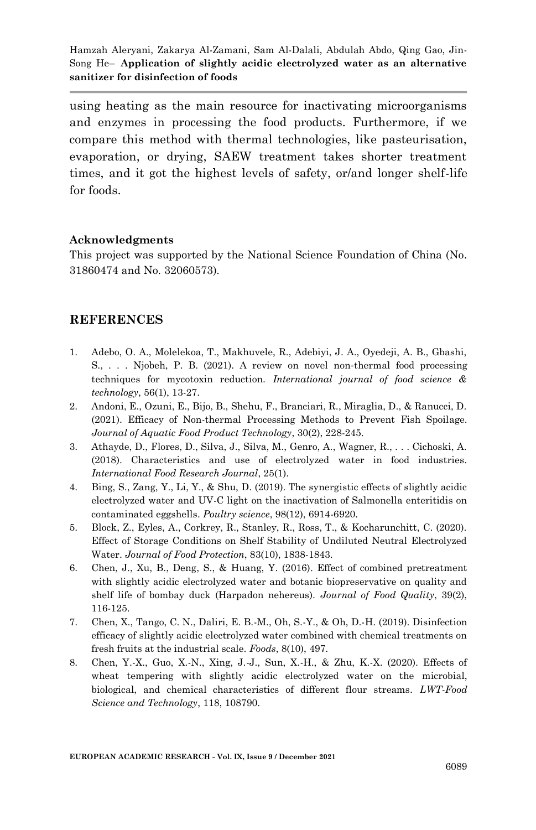using heating as the main resource for inactivating microorganisms and enzymes in processing the food products. Furthermore, if we compare this method with thermal technologies, like pasteurisation, evaporation, or drying, SAEW treatment takes shorter treatment times, and it got the highest levels of safety, or/and longer shelf-life for foods.

#### **Acknowledgments**

This project was supported by the National Science Foundation of China (No. 31860474 and No. 32060573).

#### **REFERENCES**

- 1. Adebo, O. A., Molelekoa, T., Makhuvele, R., Adebiyi, J. A., Oyedeji, A. B., Gbashi, S., . . . Njobeh, P. B. (2021). A review on novel non‐thermal food processing techniques for mycotoxin reduction. *International journal of food science & technology*, 56(1), 13-27.
- 2. Andoni, E., Ozuni, E., Bijo, B., Shehu, F., Branciari, R., Miraglia, D., & Ranucci, D. (2021). Efficacy of Non-thermal Processing Methods to Prevent Fish Spoilage. *Journal of Aquatic Food Product Technology*, 30(2), 228-245.
- 3. Athayde, D., Flores, D., Silva, J., Silva, M., Genro, A., Wagner, R., . . . Cichoski, A. (2018). Characteristics and use of electrolyzed water in food industries. *International Food Research Journal*, 25(1).
- 4. Bing, S., Zang, Y., Li, Y., & Shu, D. (2019). The synergistic effects of slightly acidic electrolyzed water and UV-C light on the inactivation of Salmonella enteritidis on contaminated eggshells. *Poultry science*, 98(12), 6914-6920.
- 5. Block, Z., Eyles, A., Corkrey, R., Stanley, R., Ross, T., & Kocharunchitt, C. (2020). Effect of Storage Conditions on Shelf Stability of Undiluted Neutral Electrolyzed Water. *Journal of Food Protection*, 83(10), 1838-1843.
- 6. Chen, J., Xu, B., Deng, S., & Huang, Y. (2016). Effect of combined pretreatment with slightly acidic electrolyzed water and botanic biopreservative on quality and shelf life of bombay duck (Harpadon nehereus). *Journal of Food Quality*, 39(2), 116-125.
- 7. Chen, X., Tango, C. N., Daliri, E. B.-M., Oh, S.-Y., & Oh, D.-H. (2019). Disinfection efficacy of slightly acidic electrolyzed water combined with chemical treatments on fresh fruits at the industrial scale. *Foods*, 8(10), 497.
- 8. Chen, Y.-X., Guo, X.-N., Xing, J.-J., Sun, X.-H., & Zhu, K.-X. (2020). Effects of wheat tempering with slightly acidic electrolyzed water on the microbial, biological, and chemical characteristics of different flour streams. *LWT-Food Science and Technology*, 118, 108790.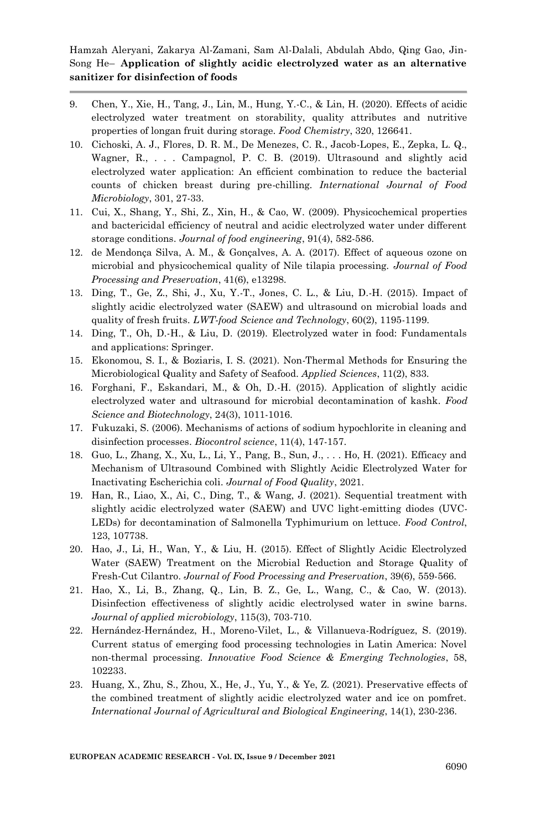- 9. Chen, Y., Xie, H., Tang, J., Lin, M., Hung, Y.-C., & Lin, H. (2020). Effects of acidic electrolyzed water treatment on storability, quality attributes and nutritive properties of longan fruit during storage. *Food Chemistry*, 320, 126641.
- 10. Cichoski, A. J., Flores, D. R. M., De Menezes, C. R., Jacob-Lopes, E., Zepka, L. Q., Wagner, R., . . . Campagnol, P. C. B. (2019). Ultrasound and slightly acid electrolyzed water application: An efficient combination to reduce the bacterial counts of chicken breast during pre-chilling. *International Journal of Food Microbiology*, 301, 27-33.
- 11. Cui, X., Shang, Y., Shi, Z., Xin, H., & Cao, W. (2009). Physicochemical properties and bactericidal efficiency of neutral and acidic electrolyzed water under different storage conditions. *Journal of food engineering*, 91(4), 582-586.
- 12. de Mendonça Silva, A. M., & Gonçalves, A. A. (2017). Effect of aqueous ozone on microbial and physicochemical quality of Nile tilapia processing. *Journal of Food Processing and Preservation*, 41(6), e13298.
- 13. Ding, T., Ge, Z., Shi, J., Xu, Y.-T., Jones, C. L., & Liu, D.-H. (2015). Impact of slightly acidic electrolyzed water (SAEW) and ultrasound on microbial loads and quality of fresh fruits. *LWT-food Science and Technology*, 60(2), 1195-1199.
- 14. Ding, T., Oh, D.-H., & Liu, D. (2019). Electrolyzed water in food: Fundamentals and applications: Springer.
- 15. Ekonomou, S. I., & Boziaris, I. S. (2021). Non-Thermal Methods for Ensuring the Microbiological Quality and Safety of Seafood. *Applied Sciences*, 11(2), 833.
- 16. Forghani, F., Eskandari, M., & Oh, D.-H. (2015). Application of slightly acidic electrolyzed water and ultrasound for microbial decontamination of kashk. *Food Science and Biotechnology*, 24(3), 1011-1016.
- 17. Fukuzaki, S. (2006). Mechanisms of actions of sodium hypochlorite in cleaning and disinfection processes. *Biocontrol science*, 11(4), 147-157.
- 18. Guo, L., Zhang, X., Xu, L., Li, Y., Pang, B., Sun, J., . . . Ho, H. (2021). Efficacy and Mechanism of Ultrasound Combined with Slightly Acidic Electrolyzed Water for Inactivating Escherichia coli. *Journal of Food Quality*, 2021.
- 19. Han, R., Liao, X., Ai, C., Ding, T., & Wang, J. (2021). Sequential treatment with slightly acidic electrolyzed water (SAEW) and UVC light-emitting diodes (UVC-LEDs) for decontamination of Salmonella Typhimurium on lettuce. *Food Control*, 123, 107738.
- 20. Hao, J., Li, H., Wan, Y., & Liu, H. (2015). Effect of Slightly Acidic Electrolyzed Water (SAEW) Treatment on the Microbial Reduction and Storage Quality of Fresh‐Cut Cilantro. *Journal of Food Processing and Preservation*, 39(6), 559-566.
- 21. Hao, X., Li, B., Zhang, Q., Lin, B. Z., Ge, L., Wang, C., & Cao, W. (2013). Disinfection effectiveness of slightly acidic electrolysed water in swine barns. *Journal of applied microbiology*, 115(3), 703-710.
- 22. Hernández-Hernández, H., Moreno-Vilet, L., & Villanueva-Rodríguez, S. (2019). Current status of emerging food processing technologies in Latin America: Novel non-thermal processing. *Innovative Food Science & Emerging Technologies*, 58, 102233.
- 23. Huang, X., Zhu, S., Zhou, X., He, J., Yu, Y., & Ye, Z. (2021). Preservative effects of the combined treatment of slightly acidic electrolyzed water and ice on pomfret. *International Journal of Agricultural and Biological Engineering*, 14(1), 230-236.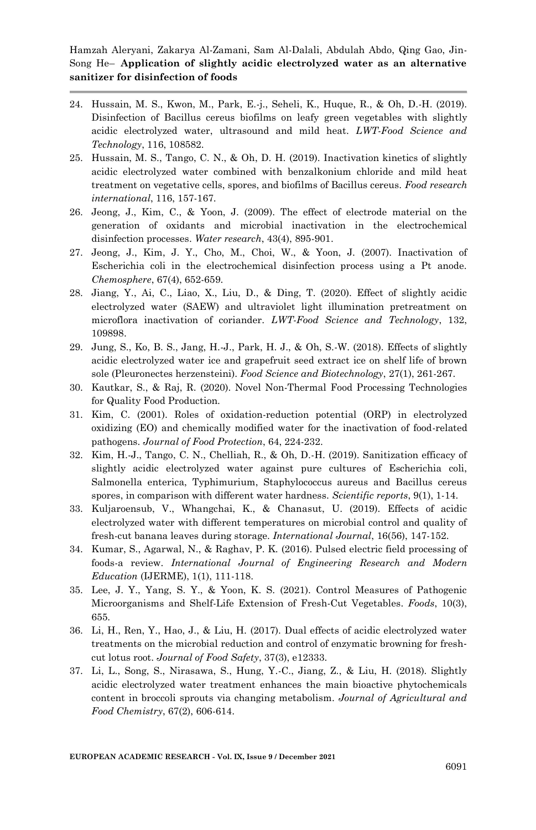- 24. Hussain, M. S., Kwon, M., Park, E.-j., Seheli, K., Huque, R., & Oh, D.-H. (2019). Disinfection of Bacillus cereus biofilms on leafy green vegetables with slightly acidic electrolyzed water, ultrasound and mild heat. *LWT-Food Science and Technology*, 116, 108582.
- 25. Hussain, M. S., Tango, C. N., & Oh, D. H. (2019). Inactivation kinetics of slightly acidic electrolyzed water combined with benzalkonium chloride and mild heat treatment on vegetative cells, spores, and biofilms of Bacillus cereus. *Food research international*, 116, 157-167.
- 26. Jeong, J., Kim, C., & Yoon, J. (2009). The effect of electrode material on the generation of oxidants and microbial inactivation in the electrochemical disinfection processes. *Water research*, 43(4), 895-901.
- 27. Jeong, J., Kim, J. Y., Cho, M., Choi, W., & Yoon, J. (2007). Inactivation of Escherichia coli in the electrochemical disinfection process using a Pt anode. *Chemosphere*, 67(4), 652-659.
- 28. Jiang, Y., Ai, C., Liao, X., Liu, D., & Ding, T. (2020). Effect of slightly acidic electrolyzed water (SAEW) and ultraviolet light illumination pretreatment on microflora inactivation of coriander. *LWT-Food Science and Technology*, 132, 109898.
- 29. Jung, S., Ko, B. S., Jang, H.-J., Park, H. J., & Oh, S.-W. (2018). Effects of slightly acidic electrolyzed water ice and grapefruit seed extract ice on shelf life of brown sole (Pleuronectes herzensteini). *Food Science and Biotechnology*, 27(1), 261-267.
- 30. Kautkar, S., & Raj, R. (2020). Novel Non-Thermal Food Processing Technologies for Quality Food Production.
- 31. Kim, C. (2001). Roles of oxidation-reduction potential (ORP) in electrolyzed oxidizing (EO) and chemically modified water for the inactivation of food-related pathogens. *Journal of Food Protection*, 64, 224-232.
- 32. Kim, H.-J., Tango, C. N., Chelliah, R., & Oh, D.-H. (2019). Sanitization efficacy of slightly acidic electrolyzed water against pure cultures of Escherichia coli, Salmonella enterica, Typhimurium, Staphylococcus aureus and Bacillus cereus spores, in comparison with different water hardness. *Scientific reports*, 9(1), 1-14.
- 33. Kuljaroensub, V., Whangchai, K., & Chanasut, U. (2019). Effects of acidic electrolyzed water with different temperatures on microbial control and quality of fresh-cut banana leaves during storage. *International Journal*, 16(56), 147-152.
- 34. Kumar, S., Agarwal, N., & Raghav, P. K. (2016). Pulsed electric field processing of foods-a review. *International Journal of Engineering Research and Modern Education* (IJERME), 1(1), 111-118.
- 35. Lee, J. Y., Yang, S. Y., & Yoon, K. S. (2021). Control Measures of Pathogenic Microorganisms and Shelf-Life Extension of Fresh-Cut Vegetables. *Foods*, 10(3), 655.
- 36. Li, H., Ren, Y., Hao, J., & Liu, H. (2017). Dual effects of acidic electrolyzed water treatments on the microbial reduction and control of enzymatic browning for fresh‐ cut lotus root. *Journal of Food Safety*, 37(3), e12333.
- 37. Li, L., Song, S., Nirasawa, S., Hung, Y.-C., Jiang, Z., & Liu, H. (2018). Slightly acidic electrolyzed water treatment enhances the main bioactive phytochemicals content in broccoli sprouts via changing metabolism. *Journal of Agricultural and Food Chemistry*, 67(2), 606-614.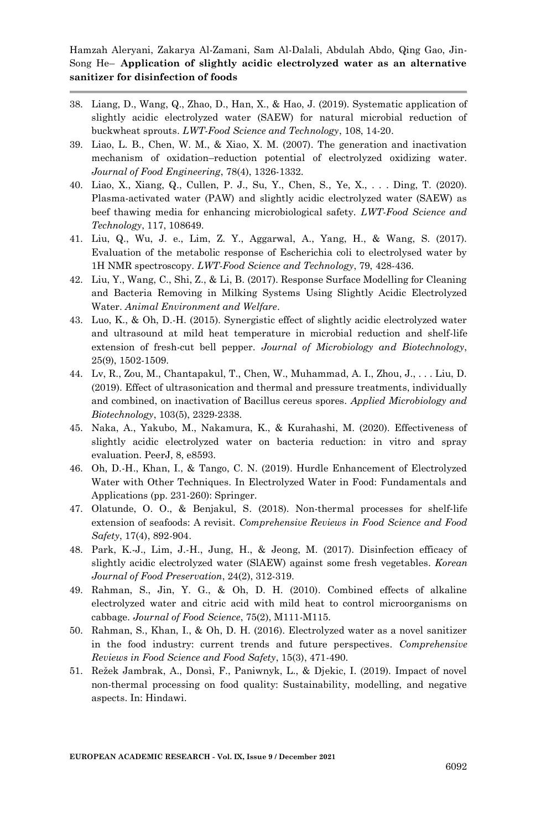- 38. Liang, D., Wang, Q., Zhao, D., Han, X., & Hao, J. (2019). Systematic application of slightly acidic electrolyzed water (SAEW) for natural microbial reduction of buckwheat sprouts. *LWT-Food Science and Technology*, 108, 14-20.
- 39. Liao, L. B., Chen, W. M., & Xiao, X. M. (2007). The generation and inactivation mechanism of oxidation–reduction potential of electrolyzed oxidizing water. *Journal of Food Engineering*, 78(4), 1326-1332.
- 40. Liao, X., Xiang, Q., Cullen, P. J., Su, Y., Chen, S., Ye, X., . . . Ding, T. (2020). Plasma-activated water (PAW) and slightly acidic electrolyzed water (SAEW) as beef thawing media for enhancing microbiological safety. *LWT-Food Science and Technology*, 117, 108649.
- 41. Liu, Q., Wu, J. e., Lim, Z. Y., Aggarwal, A., Yang, H., & Wang, S. (2017). Evaluation of the metabolic response of Escherichia coli to electrolysed water by 1H NMR spectroscopy. *LWT-Food Science and Technology*, 79, 428-436.
- 42. Liu, Y., Wang, C., Shi, Z., & Li, B. (2017). Response Surface Modelling for Cleaning and Bacteria Removing in Milking Systems Using Slightly Acidic Electrolyzed Water. *Animal Environment and Welfare*.
- 43. Luo, K., & Oh, D.-H. (2015). Synergistic effect of slightly acidic electrolyzed water and ultrasound at mild heat temperature in microbial reduction and shelf-life extension of fresh-cut bell pepper. *Journal of Microbiology and Biotechnology*, 25(9), 1502-1509.
- 44. Lv, R., Zou, M., Chantapakul, T., Chen, W., Muhammad, A. I., Zhou, J., . . . Liu, D. (2019). Effect of ultrasonication and thermal and pressure treatments, individually and combined, on inactivation of Bacillus cereus spores. *Applied Microbiology and Biotechnology*, 103(5), 2329-2338.
- 45. Naka, A., Yakubo, M., Nakamura, K., & Kurahashi, M. (2020). Effectiveness of slightly acidic electrolyzed water on bacteria reduction: in vitro and spray evaluation. PeerJ, 8, e8593.
- 46. Oh, D.-H., Khan, I., & Tango, C. N. (2019). Hurdle Enhancement of Electrolyzed Water with Other Techniques. In Electrolyzed Water in Food: Fundamentals and Applications (pp. 231-260): Springer.
- 47. Olatunde, O. O., & Benjakul, S. (2018). Non-thermal processes for shelf-life extension of seafoods: A revisit. *Comprehensive Reviews in Food Science and Food Safety*, 17(4), 892-904.
- 48. Park, K.-J., Lim, J.-H., Jung, H., & Jeong, M. (2017). Disinfection efficacy of slightly acidic electrolyzed water (SlAEW) against some fresh vegetables. *Korean Journal of Food Preservation*, 24(2), 312-319.
- 49. Rahman, S., Jin, Y. G., & Oh, D. H. (2010). Combined effects of alkaline electrolyzed water and citric acid with mild heat to control microorganisms on cabbage. *Journal of Food Science*, 75(2), M111-M115.
- 50. Rahman, S., Khan, I., & Oh, D. H. (2016). Electrolyzed water as a novel sanitizer in the food industry: current trends and future perspectives. *Comprehensive Reviews in Food Science and Food Safety*, 15(3), 471-490.
- 51. Režek Jambrak, A., Donsì, F., Paniwnyk, L., & Djekic, I. (2019). Impact of novel non-thermal processing on food quality: Sustainability, modelling, and negative aspects. In: Hindawi.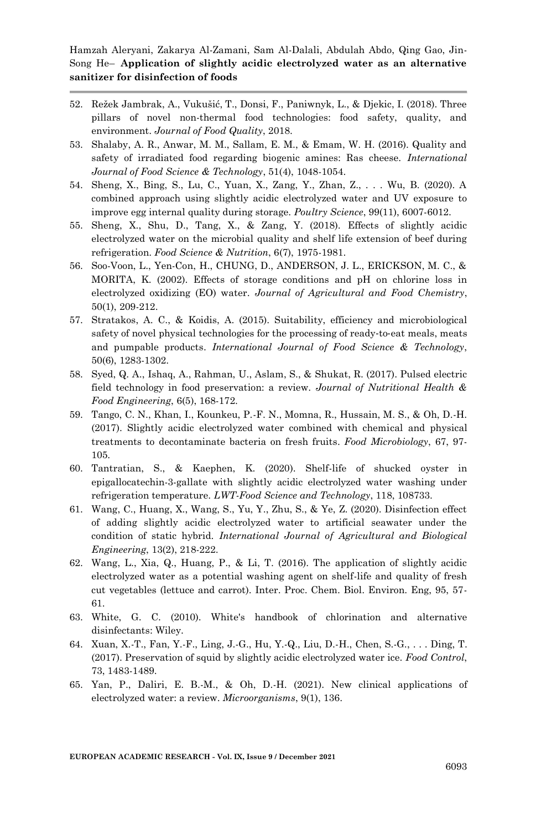- 52. Režek Jambrak, A., Vukušić, T., Donsi, F., Paniwnyk, L., & Djekic, I. (2018). Three pillars of novel non-thermal food technologies: food safety, quality, and environment. *Journal of Food Quality*, 2018.
- 53. Shalaby, A. R., Anwar, M. M., Sallam, E. M., & Emam, W. H. (2016). Quality and safety of irradiated food regarding biogenic amines: Ras cheese. *International Journal of Food Science & Technology*, 51(4), 1048-1054.
- 54. Sheng, X., Bing, S., Lu, C., Yuan, X., Zang, Y., Zhan, Z., . . . Wu, B. (2020). A combined approach using slightly acidic electrolyzed water and UV exposure to improve egg internal quality during storage. *Poultry Science*, 99(11), 6007-6012.
- 55. Sheng, X., Shu, D., Tang, X., & Zang, Y. (2018). Effects of slightly acidic electrolyzed water on the microbial quality and shelf life extension of beef during refrigeration. *Food Science & Nutrition*, 6(7), 1975-1981.
- 56. Soo-Voon, L., Yen-Con, H., CHUNG, D., ANDERSON, J. L., ERICKSON, M. C., & MORITA, K. (2002). Effects of storage conditions and pH on chlorine loss in electrolyzed oxidizing (EO) water. *Journal of Agricultural and Food Chemistry*, 50(1), 209-212.
- 57. Stratakos, A. C., & Koidis, A. (2015). Suitability, efficiency and microbiological safety of novel physical technologies for the processing of ready-to-eat meals, meats and pumpable products. *International Journal of Food Science & Technology*, 50(6), 1283-1302.
- 58. Syed, Q. A., Ishaq, A., Rahman, U., Aslam, S., & Shukat, R. (2017). Pulsed electric field technology in food preservation: a review. *Journal of Nutritional Health & Food Engineering*, 6(5), 168-172.
- 59. Tango, C. N., Khan, I., Kounkeu, P.-F. N., Momna, R., Hussain, M. S., & Oh, D.-H. (2017). Slightly acidic electrolyzed water combined with chemical and physical treatments to decontaminate bacteria on fresh fruits. *Food Microbiology*, 67, 97- 105.
- 60. Tantratian, S., & Kaephen, K. (2020). Shelf-life of shucked oyster in epigallocatechin-3-gallate with slightly acidic electrolyzed water washing under refrigeration temperature. *LWT-Food Science and Technology*, 118, 108733.
- 61. Wang, C., Huang, X., Wang, S., Yu, Y., Zhu, S., & Ye, Z. (2020). Disinfection effect of adding slightly acidic electrolyzed water to artificial seawater under the condition of static hybrid. *International Journal of Agricultural and Biological Engineering*, 13(2), 218-222.
- 62. Wang, L., Xia, Q., Huang, P., & Li, T. (2016). The application of slightly acidic electrolyzed water as a potential washing agent on shelf-life and quality of fresh cut vegetables (lettuce and carrot). Inter. Proc. Chem. Biol. Environ. Eng, 95, 57- 61.
- 63. White, G. C. (2010). White's handbook of chlorination and alternative disinfectants: Wiley.
- 64. Xuan, X.-T., Fan, Y.-F., Ling, J.-G., Hu, Y.-Q., Liu, D.-H., Chen, S.-G., . . . Ding, T. (2017). Preservation of squid by slightly acidic electrolyzed water ice. *Food Control*, 73, 1483-1489.
- 65. Yan, P., Daliri, E. B.-M., & Oh, D.-H. (2021). New clinical applications of electrolyzed water: a review. *Microorganisms*, 9(1), 136.